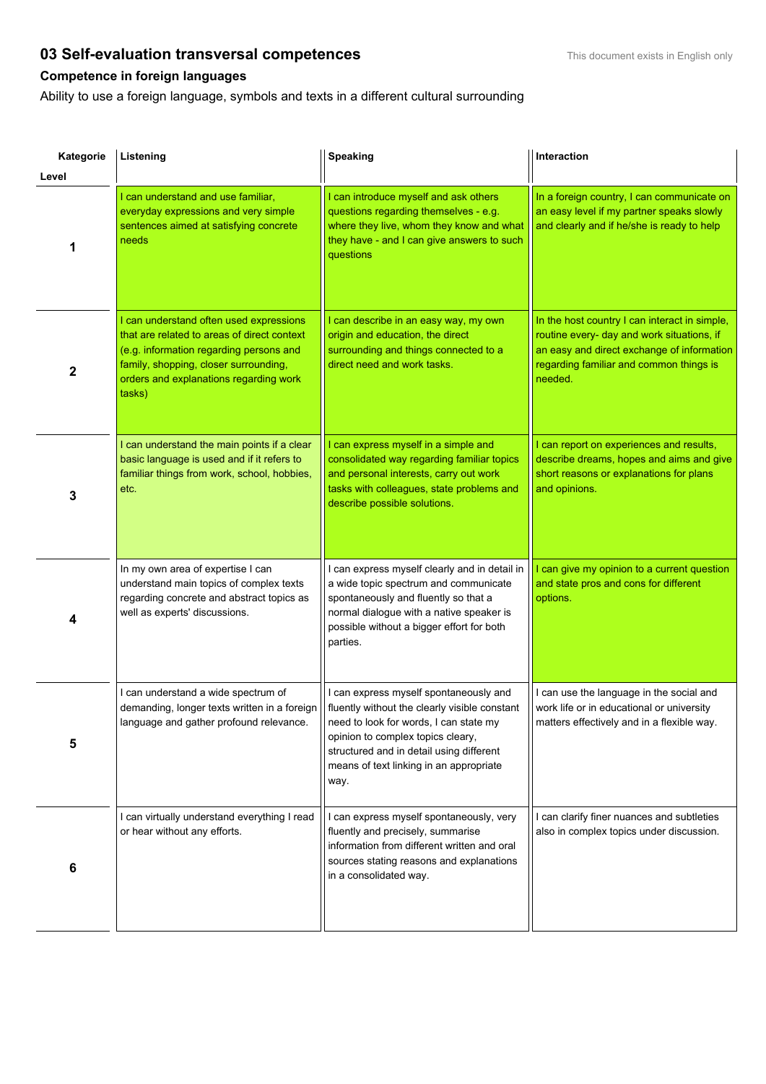## **03 Self-evaluation transversal competences**<br>**103 Self-evaluation transversal competences**

## **Competence in foreign languages**

Ability to use a foreign language, symbols and texts in a different cultural surrounding

| Kategorie        | Listening                                                                                                                                                                                                                      | Speaking                                                                                                                                                                                                                                                              | Interaction                                                                                                                                                                                     |
|------------------|--------------------------------------------------------------------------------------------------------------------------------------------------------------------------------------------------------------------------------|-----------------------------------------------------------------------------------------------------------------------------------------------------------------------------------------------------------------------------------------------------------------------|-------------------------------------------------------------------------------------------------------------------------------------------------------------------------------------------------|
| Level            |                                                                                                                                                                                                                                |                                                                                                                                                                                                                                                                       |                                                                                                                                                                                                 |
| 1                | I can understand and use familiar,<br>everyday expressions and very simple<br>sentences aimed at satisfying concrete<br>needs                                                                                                  | I can introduce myself and ask others<br>questions regarding themselves - e.g.<br>where they live, whom they know and what<br>they have - and I can give answers to such<br>questions                                                                                 | In a foreign country, I can communicate on<br>an easy level if my partner speaks slowly<br>and clearly and if he/she is ready to help                                                           |
| $\boldsymbol{2}$ | I can understand often used expressions<br>that are related to areas of direct context<br>(e.g. information regarding persons and<br>family, shopping, closer surrounding,<br>orders and explanations regarding work<br>tasks) | I can describe in an easy way, my own<br>origin and education, the direct<br>surrounding and things connected to a<br>direct need and work tasks.                                                                                                                     | In the host country I can interact in simple,<br>routine every- day and work situations, if<br>an easy and direct exchange of information<br>regarding familiar and common things is<br>needed. |
| 3                | I can understand the main points if a clear<br>basic language is used and if it refers to<br>familiar things from work, school, hobbies,<br>etc.                                                                               | I can express myself in a simple and<br>consolidated way regarding familiar topics<br>and personal interests, carry out work<br>tasks with colleagues, state problems and<br>describe possible solutions.                                                             | I can report on experiences and results,<br>describe dreams, hopes and aims and give<br>short reasons or explanations for plans<br>and opinions.                                                |
| 4                | In my own area of expertise I can<br>understand main topics of complex texts<br>regarding concrete and abstract topics as<br>well as experts' discussions.                                                                     | I can express myself clearly and in detail in<br>a wide topic spectrum and communicate<br>spontaneously and fluently so that a<br>normal dialogue with a native speaker is<br>possible without a bigger effort for both<br>parties.                                   | I can give my opinion to a current question<br>and state pros and cons for different<br>options.                                                                                                |
| 5                | I can understand a wide spectrum of<br>demanding, longer texts written in a foreign<br>language and gather profound relevance.                                                                                                 | I can express myself spontaneously and<br>fluently without the clearly visible constant<br>need to look for words, I can state my<br>opinion to complex topics cleary,<br>structured and in detail using different<br>means of text linking in an appropriate<br>way. | I can use the language in the social and<br>work life or in educational or university<br>matters effectively and in a flexible way.                                                             |
| 6                | I can virtually understand everything I read<br>or hear without any efforts.                                                                                                                                                   | I can express myself spontaneously, very<br>fluently and precisely, summarise<br>information from different written and oral<br>sources stating reasons and explanations<br>in a consolidated way.                                                                    | I can clarify finer nuances and subtleties<br>also in complex topics under discussion.                                                                                                          |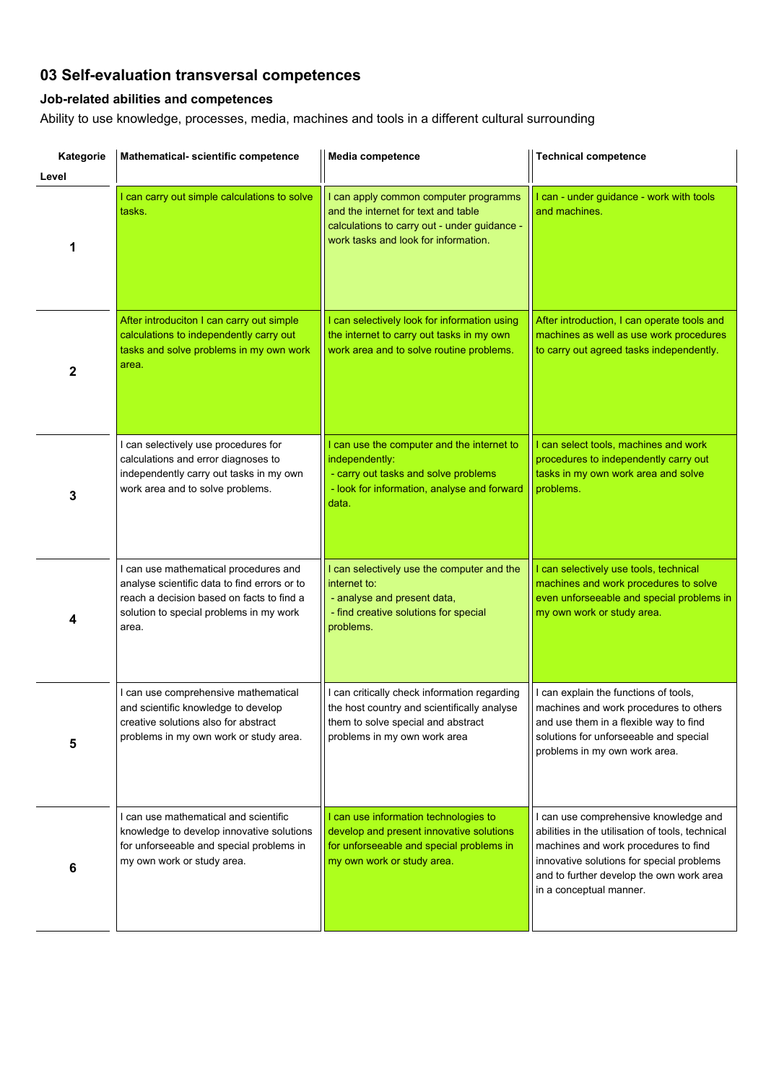### **03 Self-evaluation transversal competences**

#### **Job-related abilities and competences**

Ability to use knowledge, processes, media, machines and tools in a different cultural surrounding

| Kategorie<br>Level | Mathematical- scientific competence                                                                                                                                                    | Media competence                                                                                                                                                     | <b>Technical competence</b>                                                                                                                                                                                                                           |
|--------------------|----------------------------------------------------------------------------------------------------------------------------------------------------------------------------------------|----------------------------------------------------------------------------------------------------------------------------------------------------------------------|-------------------------------------------------------------------------------------------------------------------------------------------------------------------------------------------------------------------------------------------------------|
| 1                  | I can carry out simple calculations to solve<br>tasks.                                                                                                                                 | I can apply common computer programms<br>and the internet for text and table<br>calculations to carry out - under guidance -<br>work tasks and look for information. | I can - under guidance - work with tools<br>and machines.                                                                                                                                                                                             |
| 2                  | After introduciton I can carry out simple<br>calculations to independently carry out<br>tasks and solve problems in my own work<br>area.                                               | I can selectively look for information using<br>the internet to carry out tasks in my own<br>work area and to solve routine problems.                                | After introduction, I can operate tools and<br>machines as well as use work procedures<br>to carry out agreed tasks independently.                                                                                                                    |
| 3                  | I can selectively use procedures for<br>calculations and error diagnoses to<br>independently carry out tasks in my own<br>work area and to solve problems.                             | I can use the computer and the internet to<br>independently:<br>- carry out tasks and solve problems<br>- look for information, analyse and forward<br>data.         | I can select tools, machines and work<br>procedures to independently carry out<br>tasks in my own work area and solve<br>problems.                                                                                                                    |
| 4                  | I can use mathematical procedures and<br>analyse scientific data to find errors or to<br>reach a decision based on facts to find a<br>solution to special problems in my work<br>area. | I can selectively use the computer and the<br>internet to:<br>- analyse and present data,<br>- find creative solutions for special<br>problems.                      | I can selectively use tools, technical<br>machines and work procedures to solve<br>even unforseeable and special problems in<br>my own work or study area.                                                                                            |
| 5                  | I can use comprehensive mathematical<br>and scientific knowledge to develop<br>creative solutions also for abstract<br>problems in my own work or study area.                          | I can critically check information regarding<br>the host country and scientifically analyse<br>them to solve special and abstract<br>problems in my own work area    | I can explain the functions of tools,<br>machines and work procedures to others<br>and use them in a flexible way to find<br>solutions for unforseeable and special<br>problems in my own work area.                                                  |
| 6                  | I can use mathematical and scientific<br>knowledge to develop innovative solutions<br>for unforseeable and special problems in<br>my own work or study area.                           | I can use information technologies to<br>develop and present innovative solutions<br>for unforseeable and special problems in<br>my own work or study area.          | I can use comprehensive knowledge and<br>abilities in the utilisation of tools, technical<br>machines and work procedures to find<br>innovative solutions for special problems<br>and to further develop the own work area<br>in a conceptual manner. |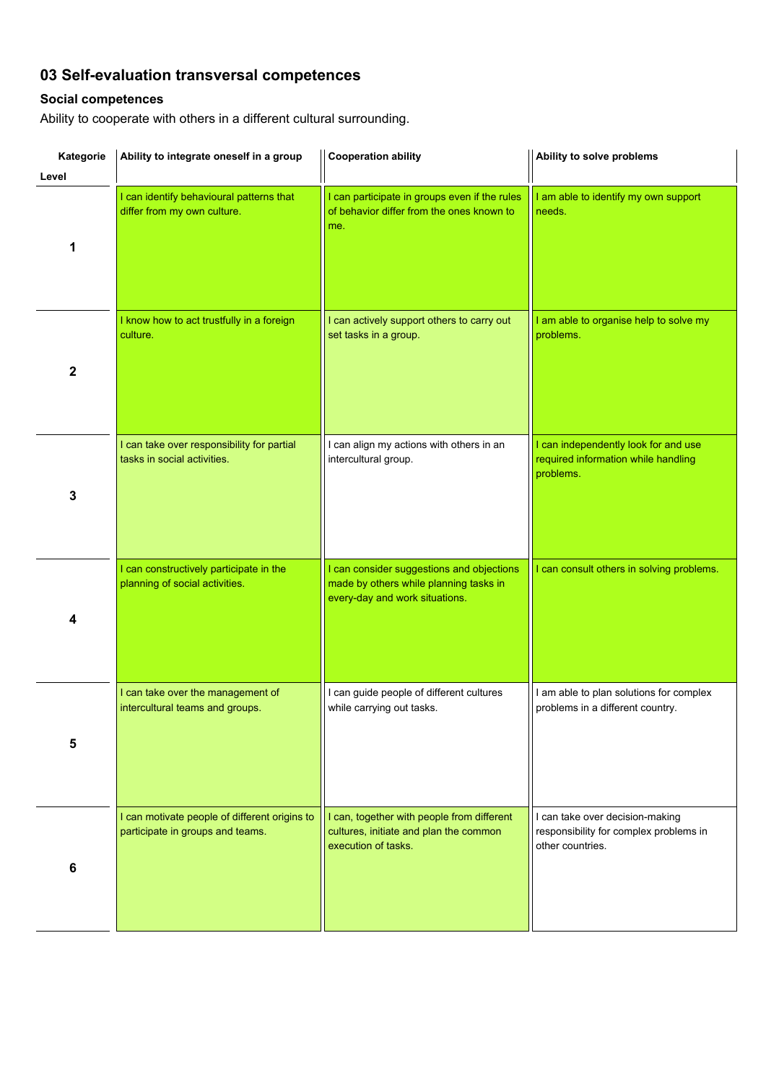# **03 Self-evaluation transversal competences**

### **Social competences**

Ability to cooperate with others in a different cultural surrounding.

| Kategorie<br>Level | Ability to integrate oneself in a group                                           | <b>Cooperation ability</b>                                                                                            | Ability to solve problems                                                                     |
|--------------------|-----------------------------------------------------------------------------------|-----------------------------------------------------------------------------------------------------------------------|-----------------------------------------------------------------------------------------------|
| 1                  | I can identify behavioural patterns that<br>differ from my own culture.           | I can participate in groups even if the rules<br>of behavior differ from the ones known to<br>me.                     | I am able to identify my own support<br>needs.                                                |
| $\mathbf{2}$       | I know how to act trustfully in a foreign<br>culture.                             | I can actively support others to carry out<br>set tasks in a group.                                                   | I am able to organise help to solve my<br>problems.                                           |
| 3                  | I can take over responsibility for partial<br>tasks in social activities.         | I can align my actions with others in an<br>intercultural group.                                                      | I can independently look for and use<br>required information while handling<br>problems.      |
| 4                  | I can constructively participate in the<br>planning of social activities.         | I can consider suggestions and objections<br>made by others while planning tasks in<br>every-day and work situations. | I can consult others in solving problems.                                                     |
| 5                  | I can take over the management of<br>intercultural teams and groups.              | I can guide people of different cultures<br>while carrying out tasks.                                                 | I am able to plan solutions for complex<br>problems in a different country.                   |
| 6                  | I can motivate people of different origins to<br>participate in groups and teams. | I can, together with people from different<br>cultures, initiate and plan the common<br>execution of tasks.           | I can take over decision-making<br>responsibility for complex problems in<br>other countries. |